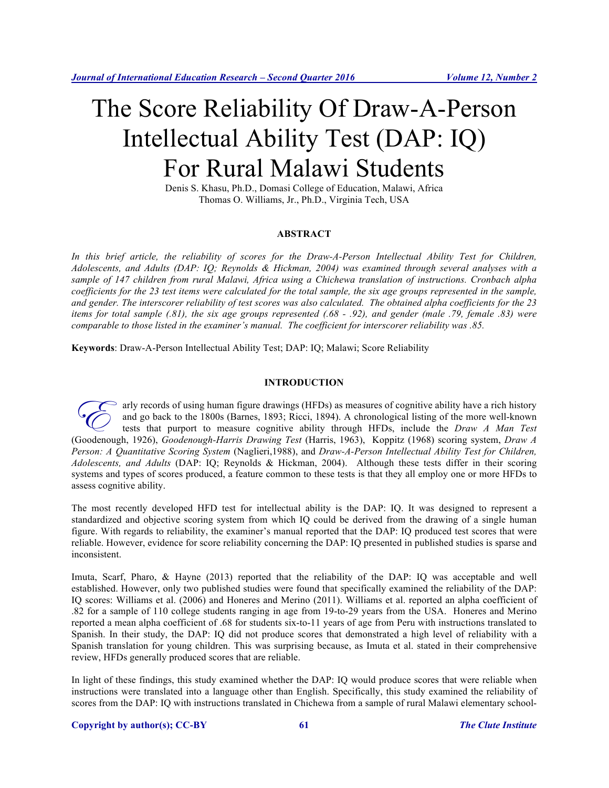# The Score Reliability Of Draw-A-Person Intellectual Ability Test (DAP: IQ) For Rural Malawi Students

Denis S. Khasu, Ph.D., Domasi College of Education, Malawi, Africa Thomas O. Williams, Jr., Ph.D., Virginia Tech, USA

#### **ABSTRACT**

In this brief article, the reliability of scores for the Draw-A-Person Intellectual Ability Test for Children, *Adolescents, and Adults (DAP: IQ; Reynolds & Hickman, 2004) was examined through several analyses with a sample of 147 children from rural Malawi, Africa using a Chichewa translation of instructions. Cronbach alpha coefficients for the 23 test items were calculated for the total sample, the six age groups represented in the sample, and gender. The interscorer reliability of test scores was also calculated. The obtained alpha coefficients for the 23 items for total sample (.81), the six age groups represented (.68 - .92), and gender (male .79, female .83) were comparable to those listed in the examiner's manual. The coefficient for interscorer reliability was .85.* 

**Keywords**: Draw-A-Person Intellectual Ability Test; DAP: IQ; Malawi; Score Reliability

## **INTRODUCTION**

arly records of using human figure drawings (HFDs) as measures of cognitive ability have a rich history and go back to the 1800s (Barnes, 1893; Ricci, 1894). A chronological listing of the more well-known tests that purport to measure cognitive ability through HFDs, include the *Draw A Man Test*  For any records of using human figure drawings (HFDs) as measures of cognitive ability have a rich history<br>and go back to the 1800s (Barnes, 1893; Ricci, 1894). A chronological listing of the more well-known<br>tests that pur *Person: A Quantitative Scoring System* (Naglieri,1988), and *Draw-A-Person Intellectual Ability Test for Children, Adolescents, and Adults* (DAP: IQ; Reynolds & Hickman, 2004). Although these tests differ in their scoring systems and types of scores produced, a feature common to these tests is that they all employ one or more HFDs to assess cognitive ability.

The most recently developed HFD test for intellectual ability is the DAP: IQ. It was designed to represent a standardized and objective scoring system from which IQ could be derived from the drawing of a single human figure. With regards to reliability, the examiner's manual reported that the DAP: IQ produced test scores that were reliable. However, evidence for score reliability concerning the DAP: IQ presented in published studies is sparse and inconsistent.

Imuta, Scarf, Pharo, & Hayne (2013) reported that the reliability of the DAP: IQ was acceptable and well established. However, only two published studies were found that specifically examined the reliability of the DAP: IQ scores: Williams et al. (2006) and Honeres and Merino (2011). Williams et al. reported an alpha coefficient of .82 for a sample of 110 college students ranging in age from 19-to-29 years from the USA. Honeres and Merino reported a mean alpha coefficient of .68 for students six-to-11 years of age from Peru with instructions translated to Spanish. In their study, the DAP: IQ did not produce scores that demonstrated a high level of reliability with a Spanish translation for young children. This was surprising because, as Imuta et al. stated in their comprehensive review, HFDs generally produced scores that are reliable.

In light of these findings, this study examined whether the DAP: IQ would produce scores that were reliable when instructions were translated into a language other than English. Specifically, this study examined the reliability of scores from the DAP: IQ with instructions translated in Chichewa from a sample of rural Malawi elementary school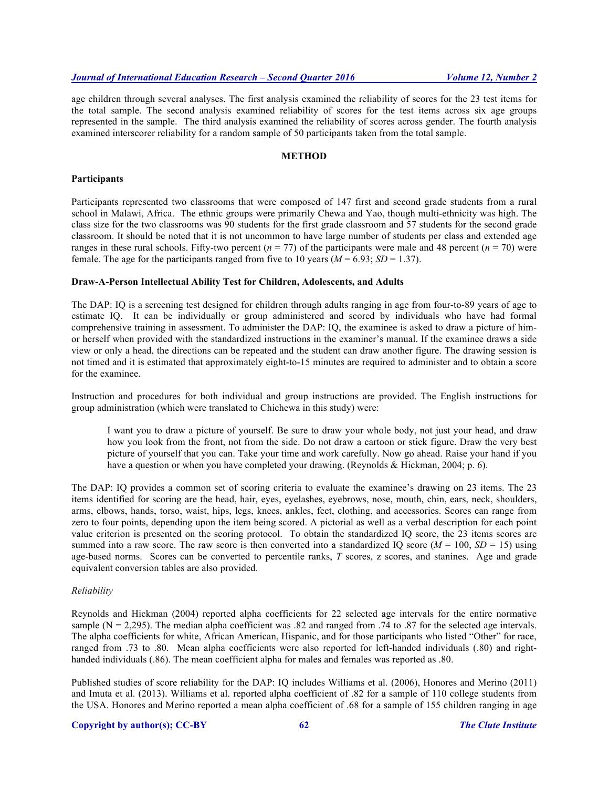age children through several analyses. The first analysis examined the reliability of scores for the 23 test items for the total sample. The second analysis examined reliability of scores for the test items across six age groups represented in the sample. The third analysis examined the reliability of scores across gender. The fourth analysis examined interscorer reliability for a random sample of 50 participants taken from the total sample.

## **METHOD**

#### **Participants**

Participants represented two classrooms that were composed of 147 first and second grade students from a rural school in Malawi, Africa. The ethnic groups were primarily Chewa and Yao, though multi-ethnicity was high. The class size for the two classrooms was 90 students for the first grade classroom and 57 students for the second grade classroom. It should be noted that it is not uncommon to have large number of students per class and extended age ranges in these rural schools. Fifty-two percent ( $n = 77$ ) of the participants were male and 48 percent ( $n = 70$ ) were female. The age for the participants ranged from five to 10 years  $(M = 6.93; SD = 1.37)$ .

#### **Draw-A-Person Intellectual Ability Test for Children, Adolescents, and Adults**

The DAP: IQ is a screening test designed for children through adults ranging in age from four-to-89 years of age to estimate IQ. It can be individually or group administered and scored by individuals who have had formal comprehensive training in assessment. To administer the DAP: IQ, the examinee is asked to draw a picture of himor herself when provided with the standardized instructions in the examiner's manual. If the examinee draws a side view or only a head, the directions can be repeated and the student can draw another figure. The drawing session is not timed and it is estimated that approximately eight-to-15 minutes are required to administer and to obtain a score for the examinee.

Instruction and procedures for both individual and group instructions are provided. The English instructions for group administration (which were translated to Chichewa in this study) were:

I want you to draw a picture of yourself. Be sure to draw your whole body, not just your head, and draw how you look from the front, not from the side. Do not draw a cartoon or stick figure. Draw the very best picture of yourself that you can. Take your time and work carefully. Now go ahead. Raise your hand if you have a question or when you have completed your drawing. (Reynolds & Hickman, 2004; p. 6).

The DAP: IQ provides a common set of scoring criteria to evaluate the examinee's drawing on 23 items. The 23 items identified for scoring are the head, hair, eyes, eyelashes, eyebrows, nose, mouth, chin, ears, neck, shoulders, arms, elbows, hands, torso, waist, hips, legs, knees, ankles, feet, clothing, and accessories. Scores can range from zero to four points, depending upon the item being scored. A pictorial as well as a verbal description for each point value criterion is presented on the scoring protocol. To obtain the standardized IQ score, the 23 items scores are summed into a raw score. The raw score is then converted into a standardized IQ score ( $M = 100$ ,  $SD = 15$ ) using age-based norms. Scores can be converted to percentile ranks, *T* scores, z scores, and stanines. Age and grade equivalent conversion tables are also provided.

#### *Reliability*

Reynolds and Hickman (2004) reported alpha coefficients for 22 selected age intervals for the entire normative sample  $(N = 2,295)$ . The median alpha coefficient was .82 and ranged from .74 to .87 for the selected age intervals. The alpha coefficients for white, African American, Hispanic, and for those participants who listed "Other" for race, ranged from .73 to .80. Mean alpha coefficients were also reported for left-handed individuals (.80) and righthanded individuals (.86). The mean coefficient alpha for males and females was reported as .80.

Published studies of score reliability for the DAP: IQ includes Williams et al. (2006), Honores and Merino (2011) and Imuta et al. (2013). Williams et al. reported alpha coefficient of .82 for a sample of 110 college students from the USA. Honores and Merino reported a mean alpha coefficient of .68 for a sample of 155 children ranging in age

#### **Copyright by author(s); CC-BY 62** *The Clute Institute*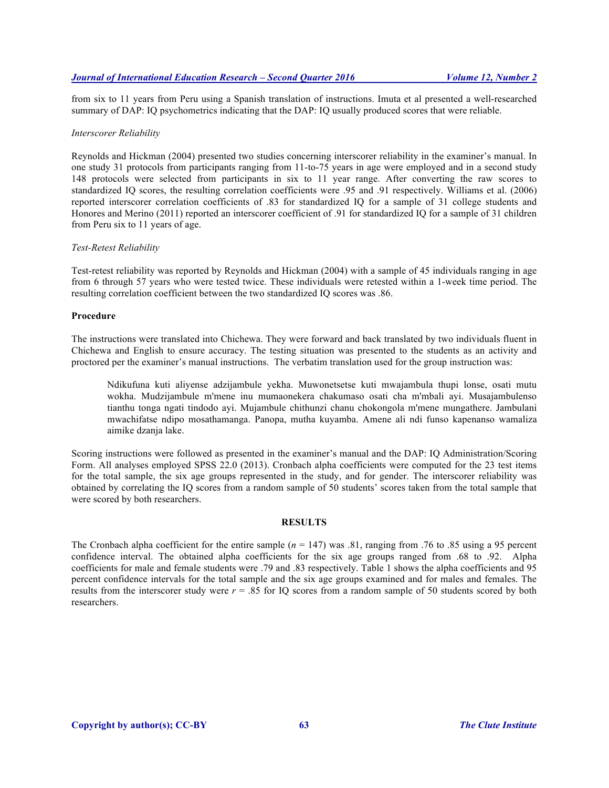from six to 11 years from Peru using a Spanish translation of instructions. Imuta et al presented a well-researched summary of DAP: IQ psychometrics indicating that the DAP: IQ usually produced scores that were reliable.

#### *Interscorer Reliability*

Reynolds and Hickman (2004) presented two studies concerning interscorer reliability in the examiner's manual. In one study 31 protocols from participants ranging from 11-to-75 years in age were employed and in a second study 148 protocols were selected from participants in six to 11 year range. After converting the raw scores to standardized IQ scores, the resulting correlation coefficients were .95 and .91 respectively. Williams et al. (2006) reported interscorer correlation coefficients of .83 for standardized IQ for a sample of 31 college students and Honores and Merino (2011) reported an interscorer coefficient of .91 for standardized IQ for a sample of 31 children from Peru six to 11 years of age.

### *Test-Retest Reliability*

Test-retest reliability was reported by Reynolds and Hickman (2004) with a sample of 45 individuals ranging in age from 6 through 57 years who were tested twice. These individuals were retested within a 1-week time period. The resulting correlation coefficient between the two standardized IQ scores was .86.

#### **Procedure**

The instructions were translated into Chichewa. They were forward and back translated by two individuals fluent in Chichewa and English to ensure accuracy. The testing situation was presented to the students as an activity and proctored per the examiner's manual instructions. The verbatim translation used for the group instruction was:

Ndikufuna kuti aliyense adzijambule yekha. Muwonetsetse kuti mwajambula thupi lonse, osati mutu wokha. Mudzijambule m'mene inu mumaonekera chakumaso osati cha m'mbali ayi. Musajambulenso tianthu tonga ngati tindodo ayi. Mujambule chithunzi chanu chokongola m'mene mungathere. Jambulani mwachifatse ndipo mosathamanga. Panopa, mutha kuyamba. Amene ali ndi funso kapenanso wamaliza aimike dzanja lake.

Scoring instructions were followed as presented in the examiner's manual and the DAP: IQ Administration/Scoring Form. All analyses employed SPSS 22.0 (2013). Cronbach alpha coefficients were computed for the 23 test items for the total sample, the six age groups represented in the study, and for gender. The interscorer reliability was obtained by correlating the IQ scores from a random sample of 50 students' scores taken from the total sample that were scored by both researchers.

#### **RESULTS**

The Cronbach alpha coefficient for the entire sample  $(n = 147)$  was .81, ranging from .76 to .85 using a 95 percent confidence interval. The obtained alpha coefficients for the six age groups ranged from .68 to .92. Alpha coefficients for male and female students were .79 and .83 respectively. Table 1 shows the alpha coefficients and 95 percent confidence intervals for the total sample and the six age groups examined and for males and females. The results from the interscorer study were *r* = .85 for IQ scores from a random sample of 50 students scored by both researchers.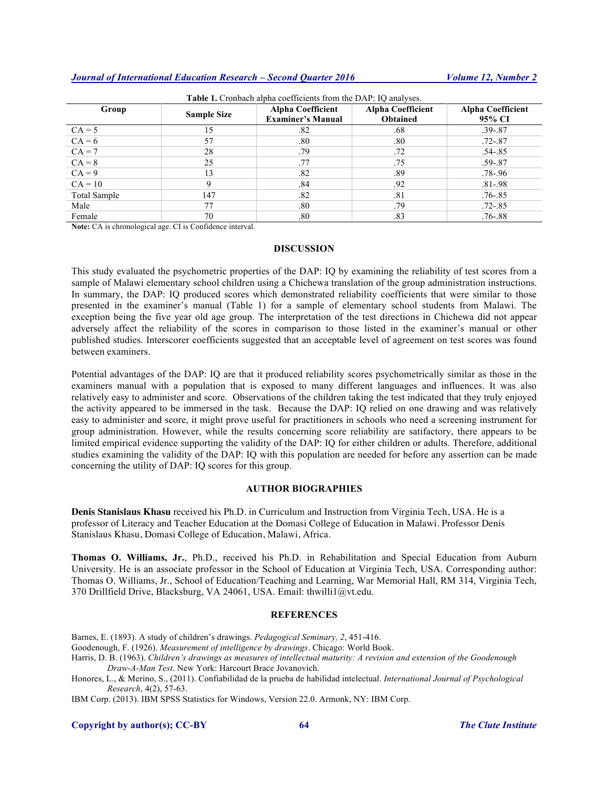## *Journal of International Education Research – Second Quarter 2016 Volume 12, Number 2*

| <b>Table 1.</b> Cronbach alpha coefficients from the DAP: IQ analyses. |                    |                          |                          |                          |
|------------------------------------------------------------------------|--------------------|--------------------------|--------------------------|--------------------------|
| Group                                                                  | <b>Sample Size</b> | <b>Alpha Coefficient</b> | <b>Alpha Coefficient</b> | <b>Alpha Coefficient</b> |
|                                                                        |                    | <b>Examiner's Manual</b> | <b>Obtained</b>          | 95% CI                   |
| $CA = 5$                                                               | 15                 | .82                      | .68                      | $.39 - .87$              |
| $CA = 6$                                                               | 57                 | .80                      | .80                      | $.72 - .87$              |
| $CA = 7$                                                               | 28                 | .79                      | .72                      | $.54 - .85$              |
| $CA = 8$                                                               | 25                 | .77                      | .75                      | $.59 - .87$              |
| $CA = 9$                                                               | 13                 | .82                      | .89                      | .78-.96                  |
| $CA = 10$                                                              | 9                  | .84                      | .92                      | $.81 - .98$              |
| Total Sample                                                           | 147                | .82                      | .81                      | $.76 - .85$              |
| Male                                                                   | 77                 | .80                      | .79                      | $.72 - .85$              |
| Female                                                                 | 70                 | .80                      | .83                      | $.76 - .88$              |

**Note:** CA is chronological age. CI is Confidence interval.

#### **DISCUSSION**

This study evaluated the psychometric properties of the DAP: IQ by examining the reliability of test scores from a sample of Malawi elementary school children using a Chichewa translation of the group administration instructions. In summary, the DAP: IQ produced scores which demonstrated reliability coefficients that were similar to those presented in the examiner's manual (Table 1) for a sample of elementary school students from Malawi. The exception being the five year old age group. The interpretation of the test directions in Chichewa did not appear adversely affect the reliability of the scores in comparison to those listed in the examiner's manual or other published studies. Interscorer coefficients suggested that an acceptable level of agreement on test scores was found between examiners.

Potential advantages of the DAP: IQ are that it produced reliability scores psychometrically similar as those in the examiners manual with a population that is exposed to many different languages and influences. It was also relatively easy to administer and score. Observations of the children taking the test indicated that they truly enjoyed the activity appeared to be immersed in the task. Because the DAP: IQ relied on one drawing and was relatively easy to administer and score, it might prove useful for practitioners in schools who need a screening instrument for group administration. However, while the results concerning score reliability are satifactory, there appears to be limited empirical evidence supporting the validity of the DAP: IQ for either children or adults. Therefore, additional studies examining the validity of the DAP: IQ with this population are needed for before any assertion can be made concerning the utility of DAP: IQ scores for this group.

#### **AUTHOR BIOGRAPHIES**

**Denis Stanislaus Khasu** received his Ph.D. in Curriculum and Instruction from Virginia Tech, USA. He is a professor of Literacy and Teacher Education at the Domasi College of Education in Malawi. Professor Denis Stanislaus Khasu, Domasi College of Education, Malawi, Africa.

**Thomas O. Williams, Jr.**, Ph.D., received his Ph.D. in Rehabilitation and Special Education from Auburn University. He is an associate professor in the School of Education at Virginia Tech, USA. Corresponding author: Thomas O. Williams, Jr., School of Education/Teaching and Learning, War Memorial Hall, RM 314, Virginia Tech, 370 Drillfield Drive, Blacksburg, VA 24061, USA. Email: thwilli1@vt.edu.

#### **REFERENCES**

- Barnes, E. (1893). A study of children's drawings. *Pedagogical Seminary, 2*, 451-416.
- Goodenough, F. (1926). *Measurement of intelligence by drawings*. Chicago: World Book.
- Harris, D. B. (1963). *Children's drawings as measures of intellectual maturity: A revision and extension of the Goodenough Draw-A-Man Test*. New York: Harcourt Brace Jovanovich.
- Honores, L., & Merino, S., (2011). Confiabilidad de la prueba de habilidad intelectual. *International Journal of Psychological Research*, 4(2), 57-63.

IBM Corp. (2013). IBM SPSS Statistics for Windows, Version 22.0. Armonk, NY: IBM Corp.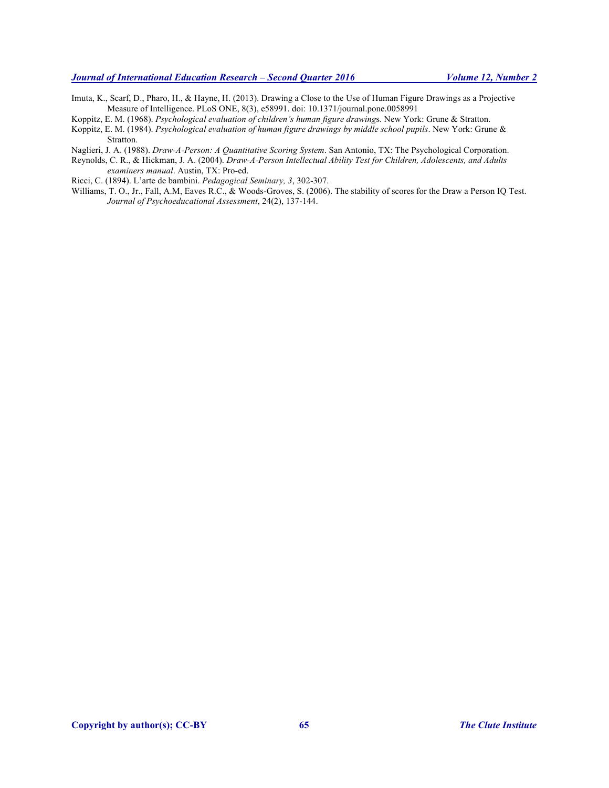- Imuta, K., Scarf, D., Pharo, H., & Hayne, H. (2013). Drawing a Close to the Use of Human Figure Drawings as a Projective Measure of Intelligence. PLoS ONE, 8(3), e58991. doi: 10.1371/journal.pone.0058991
- Koppitz, E. M. (1968). *Psychological evaluation of children's human figure drawing*s. New York: Grune & Stratton.
- Koppitz, E. M. (1984). *Psychological evaluation of human figure drawings by middle school pupils*. New York: Grune & Stratton.
- Naglieri, J. A. (1988). *Draw-A-Person: A Quantitative Scoring System*. San Antonio, TX: The Psychological Corporation.
- Reynolds, C. R., & Hickman, J. A. (2004). *Draw-A-Person Intellectual Ability Test for Children, Adolescents, and Adults examiners manual*. Austin, TX: Pro-ed.

Ricci, C. (1894). L'arte de bambini. *Pedagogical Seminary, 3*, 302-307.

Williams, T. O., Jr., Fall, A.M, Eaves R.C., & Woods-Groves, S. (2006). The stability of scores for the Draw a Person IQ Test. *Journal of Psychoeducational Assessment*, 24(2), 137-144.